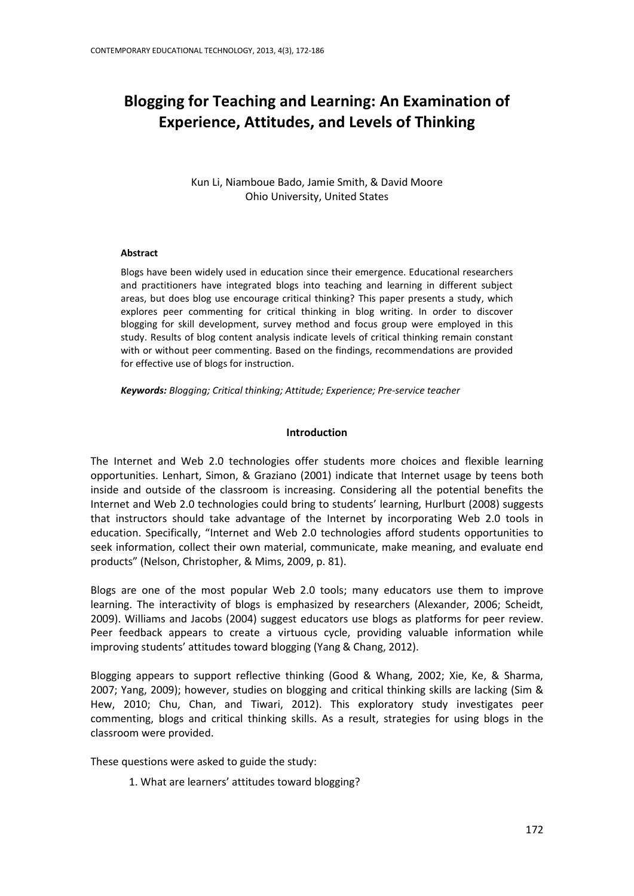# **Blogging for Teaching and Learning: An Examination of Experience, Attitudes, and Levels of Thinking**

Kun Li, Niamboue Bado, Jamie Smith, & David Moore Ohio University, United States

## **Abstract**

Blogs have been widely used in education since their emergence. Educational researchers and practitioners have integrated blogs into teaching and learning in different subject areas, but does blog use encourage critical thinking? This paper presents a study, which explores peer commenting for critical thinking in blog writing. In order to discover blogging for skill development, survey method and focus group were employed in this study. Results of blog content analysis indicate levels of critical thinking remain constant with or without peer commenting. Based on the findings, recommendations are provided for effective use of blogs for instruction.

*Keywords: Blogging; Critical thinking; Attitude; Experience; Pre-service teacher*

# **Introduction**

The Internet and Web 2.0 technologies offer students more choices and flexible learning opportunities. Lenhart, Simon, & Graziano (2001) indicate that Internet usage by teens both inside and outside of the classroom is increasing. Considering all the potential benefits the Internet and Web 2.0 technologies could bring to students' learning, Hurlburt (2008) suggests that instructors should take advantage of the Internet by incorporating Web 2.0 tools in education. Specifically, "Internet and Web 2.0 technologies afford students opportunities to seek information, collect their own material, communicate, make meaning, and evaluate end products" (Nelson, Christopher, & Mims, 2009, p. 81).

Blogs are one of the most popular Web 2.0 tools; many educators use them to improve learning. The interactivity of blogs is emphasized by researchers (Alexander, 2006; Scheidt, 2009). Williams and Jacobs (2004) suggest educators use blogs as platforms for peer review. Peer feedback appears to create a virtuous cycle, providing valuable information while improving students' attitudes toward blogging (Yang & Chang, 2012).

Blogging appears to support reflective thinking (Good & Whang, 2002; Xie, Ke, & Sharma, 2007; Yang, 2009); however, studies on blogging and critical thinking skills are lacking (Sim & Hew, 2010; Chu, Chan, and Tiwari, 2012). This exploratory study investigates peer commenting, blogs and critical thinking skills. As a result, strategies for using blogs in the classroom were provided.

These questions were asked to guide the study:

1. What are learners' attitudes toward blogging?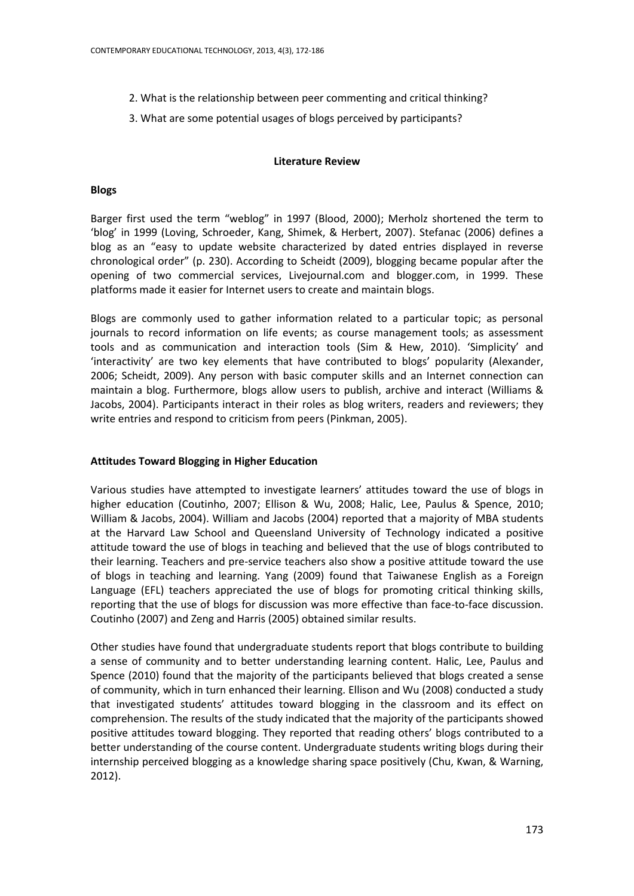- 2. What is the relationship between peer commenting and critical thinking?
- 3. What are some potential usages of blogs perceived by participants?

## **Literature Review**

## **Blogs**

Barger first used the term "weblog" in 1997 (Blood, 2000); Merholz shortened the term to 'blog' in 1999 (Loving, Schroeder, Kang, Shimek, & Herbert, 2007). Stefanac (2006) defines a blog as an "easy to update website characterized by dated entries displayed in reverse chronological order" (p. 230). According to Scheidt (2009), blogging became popular after the opening of two commercial services, Livejournal.com and blogger.com, in 1999. These platforms made it easier for Internet users to create and maintain blogs.

Blogs are commonly used to gather information related to a particular topic; as personal journals to record information on life events; as course management tools; as assessment tools and as communication and interaction tools (Sim & Hew, 2010). 'Simplicity' and 'interactivity' are two key elements that have contributed to blogs' popularity (Alexander, 2006; Scheidt, 2009). Any person with basic computer skills and an Internet connection can maintain a blog. Furthermore, blogs allow users to publish, archive and interact (Williams & Jacobs, 2004). Participants interact in their roles as blog writers, readers and reviewers; they write entries and respond to criticism from peers (Pinkman, 2005).

# **Attitudes Toward Blogging in Higher Education**

Various studies have attempted to investigate learners' attitudes toward the use of blogs in higher education (Coutinho, 2007; Ellison & Wu, 2008; Halic, Lee, Paulus & Spence, 2010; William & Jacobs, 2004). William and Jacobs (2004) reported that a majority of MBA students at the Harvard Law School and Queensland University of Technology indicated a positive attitude toward the use of blogs in teaching and believed that the use of blogs contributed to their learning. Teachers and pre-service teachers also show a positive attitude toward the use of blogs in teaching and learning. Yang (2009) found that Taiwanese English as a Foreign Language (EFL) teachers appreciated the use of blogs for promoting critical thinking skills, reporting that the use of blogs for discussion was more effective than face-to-face discussion. Coutinho (2007) and Zeng and Harris (2005) obtained similar results.

Other studies have found that undergraduate students report that blogs contribute to building a sense of community and to better understanding learning content. Halic, Lee, Paulus and Spence (2010) found that the majority of the participants believed that blogs created a sense of community, which in turn enhanced their learning. Ellison and Wu (2008) conducted a study that investigated students' attitudes toward blogging in the classroom and its effect on comprehension. The results of the study indicated that the majority of the participants showed positive attitudes toward blogging. They reported that reading others' blogs contributed to a better understanding of the course content. Undergraduate students writing blogs during their internship perceived blogging as a knowledge sharing space positively (Chu, Kwan, & Warning, 2012).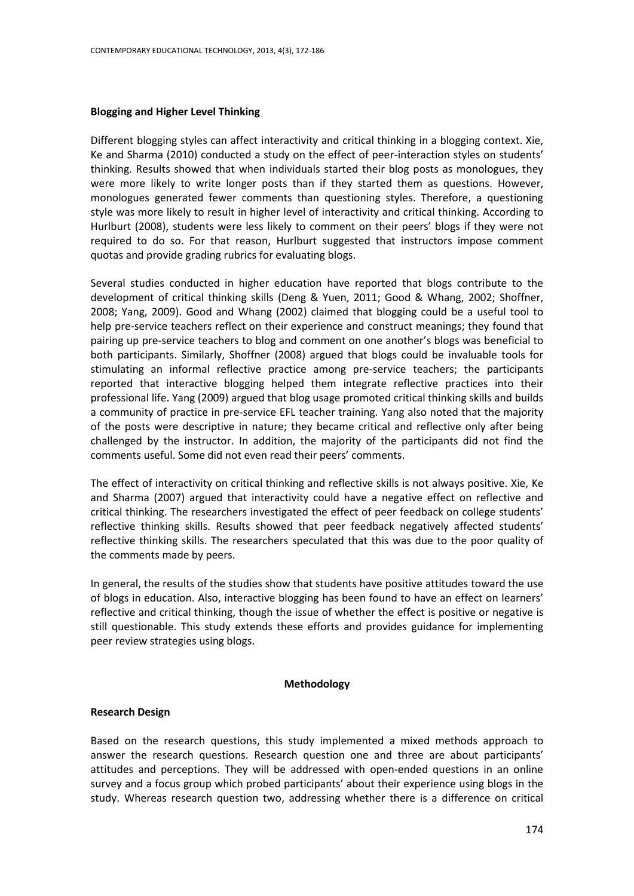## **Blogging and Higher Level Thinking**

Different blogging styles can affect interactivity and critical thinking in a blogging context. Xie, Ke and Sharma (2010) conducted a study on the effect of peer-interaction styles on students' thinking. Results showed that when individuals started their blog posts as monologues, they were more likely to write longer posts than if they started them as questions. However, monologues generated fewer comments than questioning styles. Therefore, a questioning style was more likely to result in higher level of interactivity and critical thinking. According to Hurlburt (2008), students were less likely to comment on their peers' blogs if they were not required to do so. For that reason, Hurlburt suggested that instructors impose comment quotas and provide grading rubrics for evaluating blogs.

Several studies conducted in higher education have reported that blogs contribute to the development of critical thinking skills (Deng & Yuen, 2011; Good & Whang, 2002; Shoffner, 2008; Yang, 2009). Good and Whang (2002) claimed that blogging could be a useful tool to help pre-service teachers reflect on their experience and construct meanings; they found that pairing up pre-service teachers to blog and comment on one another's blogs was beneficial to both participants. Similarly, Shoffner (2008) argued that blogs could be invaluable tools for stimulating an informal reflective practice among pre-service teachers; the participants reported that interactive blogging helped them integrate reflective practices into their professional life. Yang (2009) argued that blog usage promoted critical thinking skills and builds a community of practice in pre-service EFL teacher training. Yang also noted that the majority of the posts were descriptive in nature; they became critical and reflective only after being challenged by the instructor. In addition, the majority of the participants did not find the comments useful. Some did not even read their peers' comments.

The effect of interactivity on critical thinking and reflective skills is not always positive. Xie, Ke and Sharma (2007) argued that interactivity could have a negative effect on reflective and critical thinking. The researchers investigated the effect of peer feedback on college students' reflective thinking skills. Results showed that peer feedback negatively affected students' reflective thinking skills. The researchers speculated that this was due to the poor quality of the comments made by peers.

In general, the results of the studies show that students have positive attitudes toward the use of blogs in education. Also, interactive blogging has been found to have an effect on learners' reflective and critical thinking, though the issue of whether the effect is positive or negative is still questionable. This study extends these efforts and provides guidance for implementing peer review strategies using blogs.

## **Methodology**

## **Research Design**

Based on the research questions, this study implemented a mixed methods approach to answer the research questions. Research question one and three are about participants' attitudes and perceptions. They will be addressed with open-ended questions in an online survey and a focus group which probed participants' about their experience using blogs in the study. Whereas research question two, addressing whether there is a difference on critical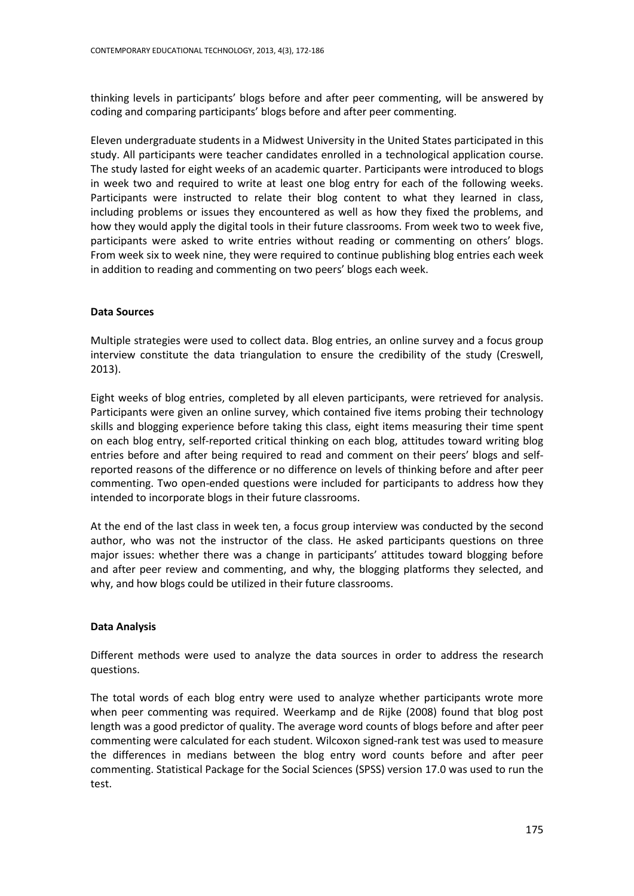thinking levels in participants' blogs before and after peer commenting, will be answered by coding and comparing participants' blogs before and after peer commenting.

Eleven undergraduate students in a Midwest University in the United States participated in this study. All participants were teacher candidates enrolled in a technological application course. The study lasted for eight weeks of an academic quarter. Participants were introduced to blogs in week two and required to write at least one blog entry for each of the following weeks. Participants were instructed to relate their blog content to what they learned in class, including problems or issues they encountered as well as how they fixed the problems, and how they would apply the digital tools in their future classrooms. From week two to week five, participants were asked to write entries without reading or commenting on others' blogs. From week six to week nine, they were required to continue publishing blog entries each week in addition to reading and commenting on two peers' blogs each week.

# **Data Sources**

Multiple strategies were used to collect data. Blog entries, an online survey and a focus group interview constitute the data triangulation to ensure the credibility of the study (Creswell, 2013).

Eight weeks of blog entries, completed by all eleven participants, were retrieved for analysis. Participants were given an online survey, which contained five items probing their technology skills and blogging experience before taking this class, eight items measuring their time spent on each blog entry, self-reported critical thinking on each blog, attitudes toward writing blog entries before and after being required to read and comment on their peers' blogs and selfreported reasons of the difference or no difference on levels of thinking before and after peer commenting. Two open-ended questions were included for participants to address how they intended to incorporate blogs in their future classrooms.

At the end of the last class in week ten, a focus group interview was conducted by the second author, who was not the instructor of the class. He asked participants questions on three major issues: whether there was a change in participants' attitudes toward blogging before and after peer review and commenting, and why, the blogging platforms they selected, and why, and how blogs could be utilized in their future classrooms.

# **Data Analysis**

Different methods were used to analyze the data sources in order to address the research questions.

The total words of each blog entry were used to analyze whether participants wrote more when peer commenting was required. Weerkamp and de Rijke (2008) found that blog post length was a good predictor of quality. The average word counts of blogs before and after peer commenting were calculated for each student. Wilcoxon signed-rank test was used to measure the differences in medians between the blog entry word counts before and after peer commenting. Statistical Package for the Social Sciences (SPSS) version 17.0 was used to run the test.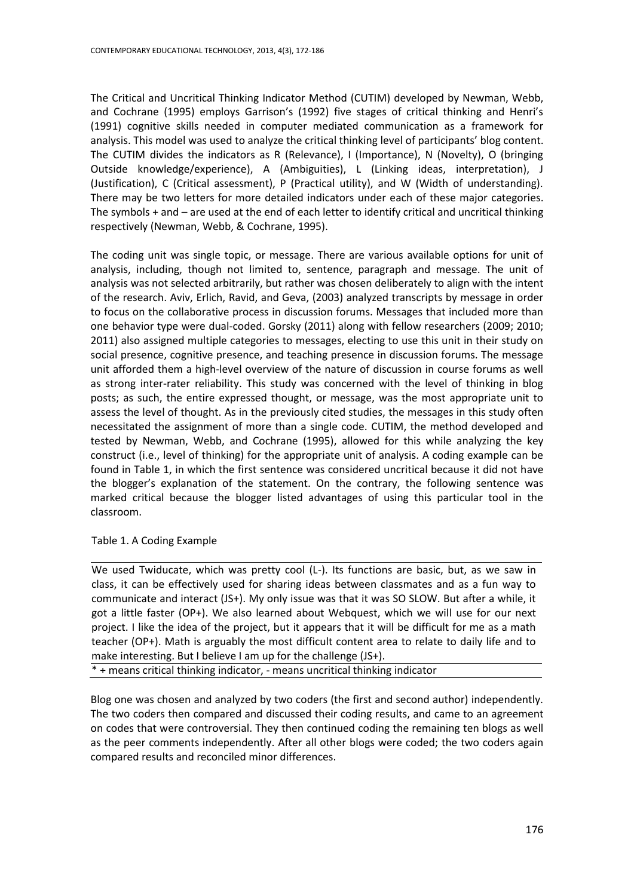The Critical and Uncritical Thinking Indicator Method (CUTIM) developed by Newman, Webb, and Cochrane (1995) employs Garrison's (1992) five stages of critical thinking and Henri's (1991) cognitive skills needed in computer mediated communication as a framework for analysis. This model was used to analyze the critical thinking level of participants' blog content. The CUTIM divides the indicators as R (Relevance), I (Importance), N (Novelty), O (bringing Outside knowledge/experience), A (Ambiguities), L (Linking ideas, interpretation), J (Justification), C (Critical assessment), P (Practical utility), and W (Width of understanding). There may be two letters for more detailed indicators under each of these major categories. The symbols + and – are used at the end of each letter to identify critical and uncritical thinking respectively (Newman, Webb, & Cochrane, 1995).

The coding unit was single topic, or message. There are various available options for unit of analysis, including, though not limited to, sentence, paragraph and message. The unit of analysis was not selected arbitrarily, but rather was chosen deliberately to align with the intent of the research. Aviv, Erlich, Ravid, and Geva, (2003) analyzed transcripts by message in order to focus on the collaborative process in discussion forums. Messages that included more than one behavior type were dual-coded. Gorsky (2011) along with fellow researchers (2009; 2010; 2011) also assigned multiple categories to messages, electing to use this unit in their study on social presence, cognitive presence, and teaching presence in discussion forums. The message unit afforded them a high-level overview of the nature of discussion in course forums as well as strong inter-rater reliability. This study was concerned with the level of thinking in blog posts; as such, the entire expressed thought, or message, was the most appropriate unit to assess the level of thought. As in the previously cited studies, the messages in this study often necessitated the assignment of more than a single code. CUTIM, the method developed and tested by Newman, Webb, and Cochrane (1995), allowed for this while analyzing the key construct (i.e., level of thinking) for the appropriate unit of analysis. A coding example can be found in Table 1, in which the first sentence was considered uncritical because it did not have the blogger's explanation of the statement. On the contrary, the following sentence was marked critical because the blogger listed advantages of using this particular tool in the classroom.

Table 1. A Coding Example

We used Twiducate, which was pretty cool (L-). Its functions are basic, but, as we saw in class, it can be effectively used for sharing ideas between classmates and as a fun way to communicate and interact (JS+). My only issue was that it was SO SLOW. But after a while, it got a little faster (OP+). We also learned about Webquest, which we will use for our next project. I like the idea of the project, but it appears that it will be difficult for me as a math teacher (OP+). Math is arguably the most difficult content area to relate to daily life and to make interesting. But I believe I am up for the challenge (JS+).

\* + means critical thinking indicator, - means uncritical thinking indicator

Blog one was chosen and analyzed by two coders (the first and second author) independently. The two coders then compared and discussed their coding results, and came to an agreement on codes that were controversial. They then continued coding the remaining ten blogs as well as the peer comments independently. After all other blogs were coded; the two coders again compared results and reconciled minor differences.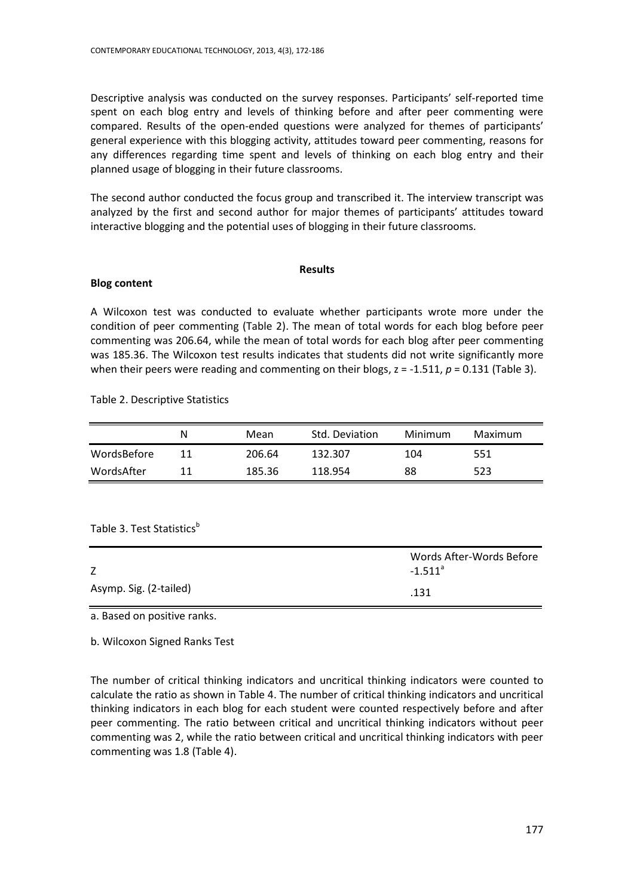Descriptive analysis was conducted on the survey responses. Participants' self-reported time spent on each blog entry and levels of thinking before and after peer commenting were compared. Results of the open-ended questions were analyzed for themes of participants' general experience with this blogging activity, attitudes toward peer commenting, reasons for any differences regarding time spent and levels of thinking on each blog entry and their planned usage of blogging in their future classrooms.

The second author conducted the focus group and transcribed it. The interview transcript was analyzed by the first and second author for major themes of participants' attitudes toward interactive blogging and the potential uses of blogging in their future classrooms.

#### **Results**

## **Blog content**

A Wilcoxon test was conducted to evaluate whether participants wrote more under the condition of peer commenting (Table 2). The mean of total words for each blog before peer commenting was 206.64, while the mean of total words for each blog after peer commenting was 185.36. The Wilcoxon test results indicates that students did not write significantly more when their peers were reading and commenting on their blogs,  $z = -1.511$ ,  $p = 0.131$  (Table 3).

Table 2. Descriptive Statistics

|             | N  | Mean   | Std. Deviation | Minimum | Maximum |
|-------------|----|--------|----------------|---------|---------|
| WordsBefore | 11 | 206.64 | 132.307        | 104     | 551     |
| WordsAfter  | 11 | 185.36 | 118.954        | 88      | 523     |

Table 3. Test Statistics<sup>b</sup>

| Z                      | Words After-Words Before<br>$-1.511$ <sup>a</sup> |
|------------------------|---------------------------------------------------|
| Asymp. Sig. (2-tailed) | .131                                              |

a. Based on positive ranks.

b. Wilcoxon Signed Ranks Test

The number of critical thinking indicators and uncritical thinking indicators were counted to calculate the ratio as shown in Table 4. The number of critical thinking indicators and uncritical thinking indicators in each blog for each student were counted respectively before and after peer commenting. The ratio between critical and uncritical thinking indicators without peer commenting was 2, while the ratio between critical and uncritical thinking indicators with peer commenting was 1.8 (Table 4).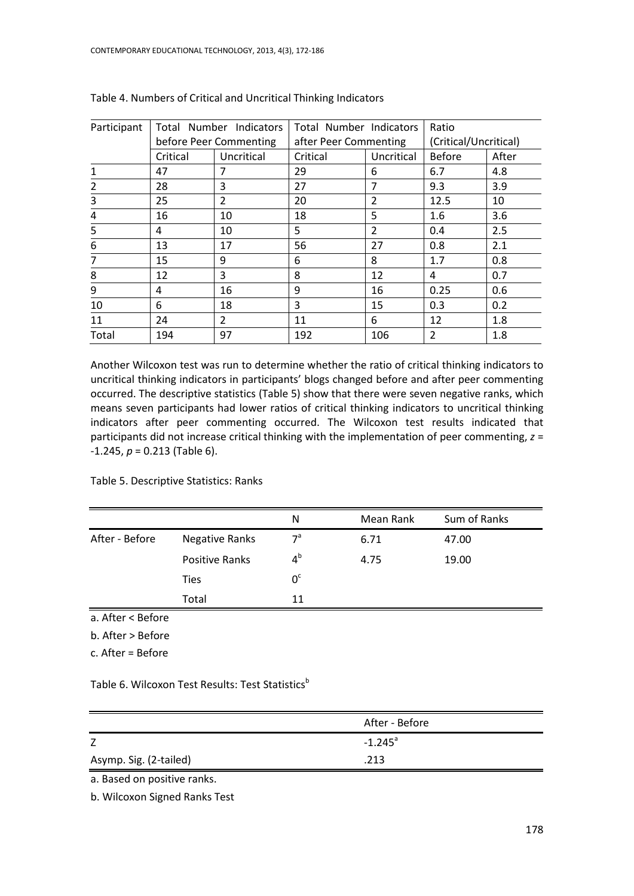| Participant | Total Number Indicators<br>before Peer Commenting |                | Total Number Indicators<br>after Peer Commenting |                | Ratio                 |       |
|-------------|---------------------------------------------------|----------------|--------------------------------------------------|----------------|-----------------------|-------|
|             |                                                   |                |                                                  |                | (Critical/Uncritical) |       |
|             | Critical                                          | Uncritical     | Critical                                         | Uncritical     | <b>Before</b>         | After |
|             | 47                                                | 7              | 29                                               | 6              | 6.7                   | 4.8   |
| 2           | 28                                                | 3              | 27                                               | 7              | 9.3                   | 3.9   |
| 3           | 25                                                | $\overline{2}$ | 20                                               | 2              | 12.5                  | 10    |
| 4           | 16                                                | 10             | 18                                               | 5              | 1.6                   | 3.6   |
| 5           | 4                                                 | 10             | 5                                                | $\overline{2}$ | 0.4                   | 2.5   |
| 6           | 13                                                | 17             | 56                                               | 27             | 0.8                   | 2.1   |
|             | 15                                                | 9              | 6                                                | 8              | 1.7                   | 0.8   |
| 8           | 12                                                | 3              | 8                                                | 12             | 4                     | 0.7   |
| 9           | 4                                                 | 16             | 9                                                | 16             | 0.25                  | 0.6   |
| 10          | 6                                                 | 18             | 3                                                | 15             | 0.3                   | 0.2   |
| 11          | 24                                                | $\overline{2}$ | 11                                               | 6              | 12                    | 1.8   |
| Total       | 194                                               | 97             | 192                                              | 106            | 2                     | 1.8   |

Table 4. Numbers of Critical and Uncritical Thinking Indicators

Another Wilcoxon test was run to determine whether the ratio of critical thinking indicators to uncritical thinking indicators in participants' blogs changed before and after peer commenting occurred. The descriptive statistics (Table 5) show that there were seven negative ranks, which means seven participants had lower ratios of critical thinking indicators to uncritical thinking indicators after peer commenting occurred. The Wilcoxon test results indicated that participants did not increase critical thinking with the implementation of peer commenting, *z* = -1.245, *p* = 0.213 (Table 6).

Table 5. Descriptive Statistics: Ranks

|                |                       | N           | Mean Rank | Sum of Ranks |  |
|----------------|-----------------------|-------------|-----------|--------------|--|
| After - Before | Negative Ranks        | $7^a$       | 6.71      | 47.00        |  |
|                | <b>Positive Ranks</b> | $4^{\rm b}$ | 4.75      | 19.00        |  |
|                | <b>Ties</b>           | $0^{\circ}$ |           |              |  |
|                | Total                 | 11          |           |              |  |

a. After < Before

b. After > Before

c. After = Before

Table 6. Wilcoxon Test Results: Test Statistics<sup>b</sup>

|                        | After - Before        |
|------------------------|-----------------------|
|                        | $-1.245$ <sup>a</sup> |
| Asymp. Sig. (2-tailed) | .213                  |

a. Based on positive ranks.

b. Wilcoxon Signed Ranks Test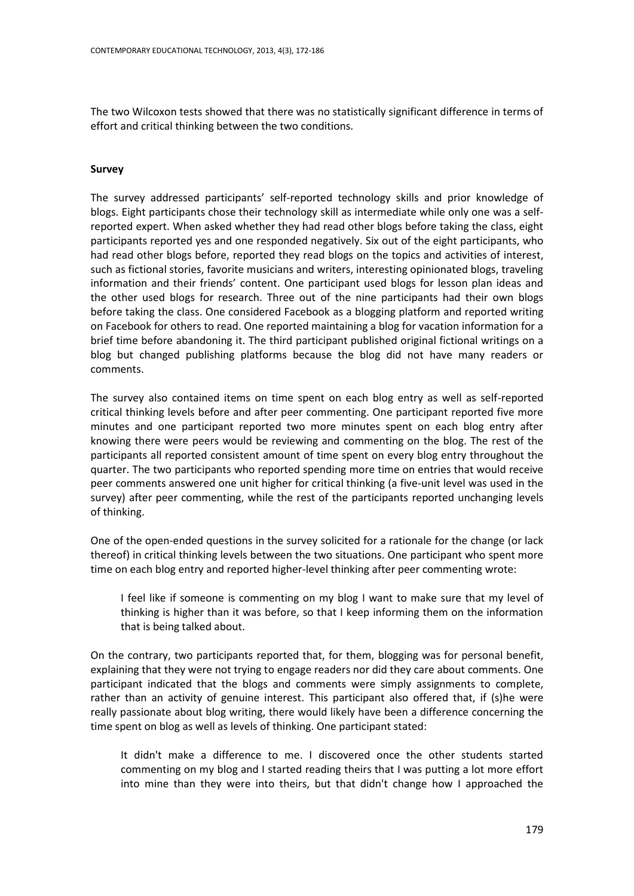The two Wilcoxon tests showed that there was no statistically significant difference in terms of effort and critical thinking between the two conditions.

## **Survey**

The survey addressed participants' self-reported technology skills and prior knowledge of blogs. Eight participants chose their technology skill as intermediate while only one was a selfreported expert. When asked whether they had read other blogs before taking the class, eight participants reported yes and one responded negatively. Six out of the eight participants, who had read other blogs before, reported they read blogs on the topics and activities of interest, such as fictional stories, favorite musicians and writers, interesting opinionated blogs, traveling information and their friends' content. One participant used blogs for lesson plan ideas and the other used blogs for research. Three out of the nine participants had their own blogs before taking the class. One considered Facebook as a blogging platform and reported writing on Facebook for others to read. One reported maintaining a blog for vacation information for a brief time before abandoning it. The third participant published original fictional writings on a blog but changed publishing platforms because the blog did not have many readers or comments.

The survey also contained items on time spent on each blog entry as well as self-reported critical thinking levels before and after peer commenting. One participant reported five more minutes and one participant reported two more minutes spent on each blog entry after knowing there were peers would be reviewing and commenting on the blog. The rest of the participants all reported consistent amount of time spent on every blog entry throughout the quarter. The two participants who reported spending more time on entries that would receive peer comments answered one unit higher for critical thinking (a five-unit level was used in the survey) after peer commenting, while the rest of the participants reported unchanging levels of thinking.

One of the open-ended questions in the survey solicited for a rationale for the change (or lack thereof) in critical thinking levels between the two situations. One participant who spent more time on each blog entry and reported higher-level thinking after peer commenting wrote:

I feel like if someone is commenting on my blog I want to make sure that my level of thinking is higher than it was before, so that I keep informing them on the information that is being talked about.

On the contrary, two participants reported that, for them, blogging was for personal benefit, explaining that they were not trying to engage readers nor did they care about comments. One participant indicated that the blogs and comments were simply assignments to complete, rather than an activity of genuine interest. This participant also offered that, if (s)he were really passionate about blog writing, there would likely have been a difference concerning the time spent on blog as well as levels of thinking. One participant stated:

It didn't make a difference to me. I discovered once the other students started commenting on my blog and I started reading theirs that I was putting a lot more effort into mine than they were into theirs, but that didn't change how I approached the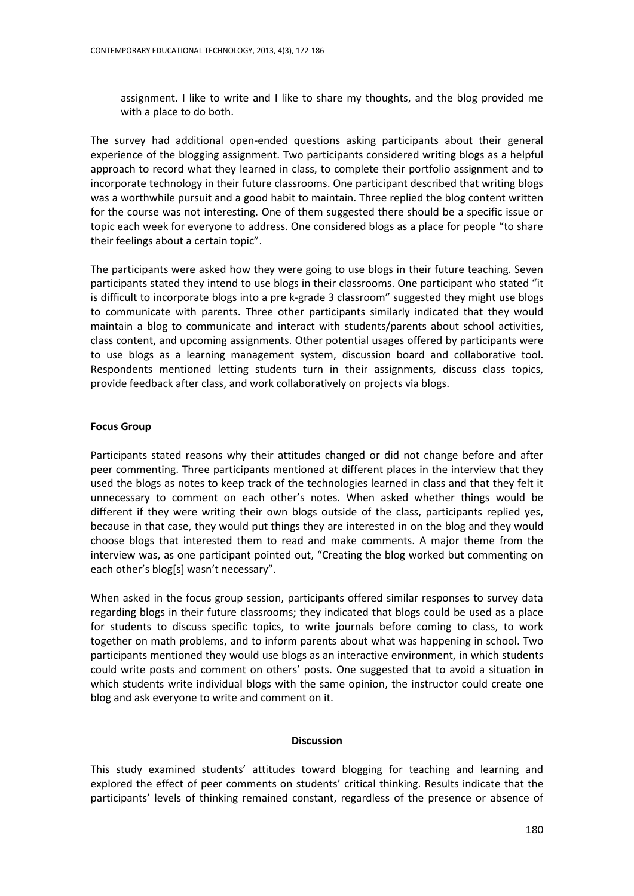assignment. I like to write and I like to share my thoughts, and the blog provided me with a place to do both.

The survey had additional open-ended questions asking participants about their general experience of the blogging assignment. Two participants considered writing blogs as a helpful approach to record what they learned in class, to complete their portfolio assignment and to incorporate technology in their future classrooms. One participant described that writing blogs was a worthwhile pursuit and a good habit to maintain. Three replied the blog content written for the course was not interesting. One of them suggested there should be a specific issue or topic each week for everyone to address. One considered blogs as a place for people "to share their feelings about a certain topic".

The participants were asked how they were going to use blogs in their future teaching. Seven participants stated they intend to use blogs in their classrooms. One participant who stated "it is difficult to incorporate blogs into a pre k-grade 3 classroom" suggested they might use blogs to communicate with parents. Three other participants similarly indicated that they would maintain a blog to communicate and interact with students/parents about school activities, class content, and upcoming assignments. Other potential usages offered by participants were to use blogs as a learning management system, discussion board and collaborative tool. Respondents mentioned letting students turn in their assignments, discuss class topics, provide feedback after class, and work collaboratively on projects via blogs.

## **Focus Group**

Participants stated reasons why their attitudes changed or did not change before and after peer commenting. Three participants mentioned at different places in the interview that they used the blogs as notes to keep track of the technologies learned in class and that they felt it unnecessary to comment on each other's notes. When asked whether things would be different if they were writing their own blogs outside of the class, participants replied yes, because in that case, they would put things they are interested in on the blog and they would choose blogs that interested them to read and make comments. A major theme from the interview was, as one participant pointed out, "Creating the blog worked but commenting on each other's blog[s] wasn't necessary".

When asked in the focus group session, participants offered similar responses to survey data regarding blogs in their future classrooms; they indicated that blogs could be used as a place for students to discuss specific topics, to write journals before coming to class, to work together on math problems, and to inform parents about what was happening in school. Two participants mentioned they would use blogs as an interactive environment, in which students could write posts and comment on others' posts. One suggested that to avoid a situation in which students write individual blogs with the same opinion, the instructor could create one blog and ask everyone to write and comment on it.

#### **Discussion**

This study examined students' attitudes toward blogging for teaching and learning and explored the effect of peer comments on students' critical thinking. Results indicate that the participants' levels of thinking remained constant, regardless of the presence or absence of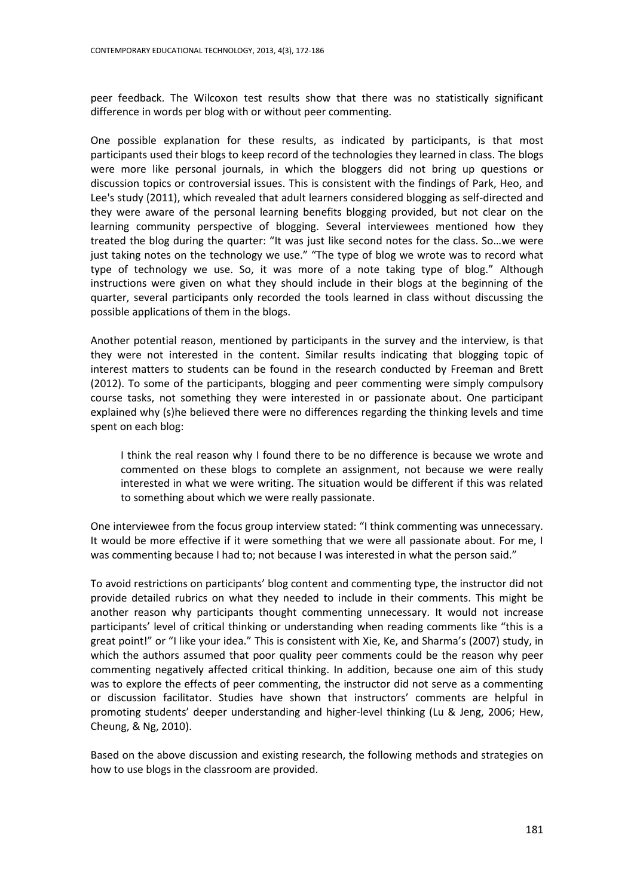peer feedback. The Wilcoxon test results show that there was no statistically significant difference in words per blog with or without peer commenting.

One possible explanation for these results, as indicated by participants, is that most participants used their blogs to keep record of the technologies they learned in class. The blogs were more like personal journals, in which the bloggers did not bring up questions or discussion topics or controversial issues. This is consistent with the findings of Park, Heo, and Lee's study (2011), which revealed that adult learners considered blogging as self-directed and they were aware of the personal learning benefits blogging provided, but not clear on the learning community perspective of blogging. Several interviewees mentioned how they treated the blog during the quarter: "It was just like second notes for the class. So...we were just taking notes on the technology we use." "The type of blog we wrote was to record what type of technology we use. So, it was more of a note taking type of blog." Although instructions were given on what they should include in their blogs at the beginning of the quarter, several participants only recorded the tools learned in class without discussing the possible applications of them in the blogs.

Another potential reason, mentioned by participants in the survey and the interview, is that they were not interested in the content. Similar results indicating that blogging topic of interest matters to students can be found in the research conducted by Freeman and Brett (2012). To some of the participants, blogging and peer commenting were simply compulsory course tasks, not something they were interested in or passionate about. One participant explained why (s)he believed there were no differences regarding the thinking levels and time spent on each blog:

I think the real reason why I found there to be no difference is because we wrote and commented on these blogs to complete an assignment, not because we were really interested in what we were writing. The situation would be different if this was related to something about which we were really passionate.

One interviewee from the focus group interview stated: "I think commenting was unnecessary. It would be more effective if it were something that we were all passionate about. For me, I was commenting because I had to; not because I was interested in what the person said."

To avoid restrictions on participants' blog content and commenting type, the instructor did not provide detailed rubrics on what they needed to include in their comments. This might be another reason why participants thought commenting unnecessary. It would not increase participants' level of critical thinking or understanding when reading comments like "this is a great point!" or "I like your idea." This is consistent with Xie, Ke, and Sharma's (2007) study, in which the authors assumed that poor quality peer comments could be the reason why peer commenting negatively affected critical thinking. In addition, because one aim of this study was to explore the effects of peer commenting, the instructor did not serve as a commenting or discussion facilitator. Studies have shown that instructors' comments are helpful in promoting students' deeper understanding and higher-level thinking (Lu & Jeng, 2006; Hew, Cheung, & Ng, 2010).

Based on the above discussion and existing research, the following methods and strategies on how to use blogs in the classroom are provided.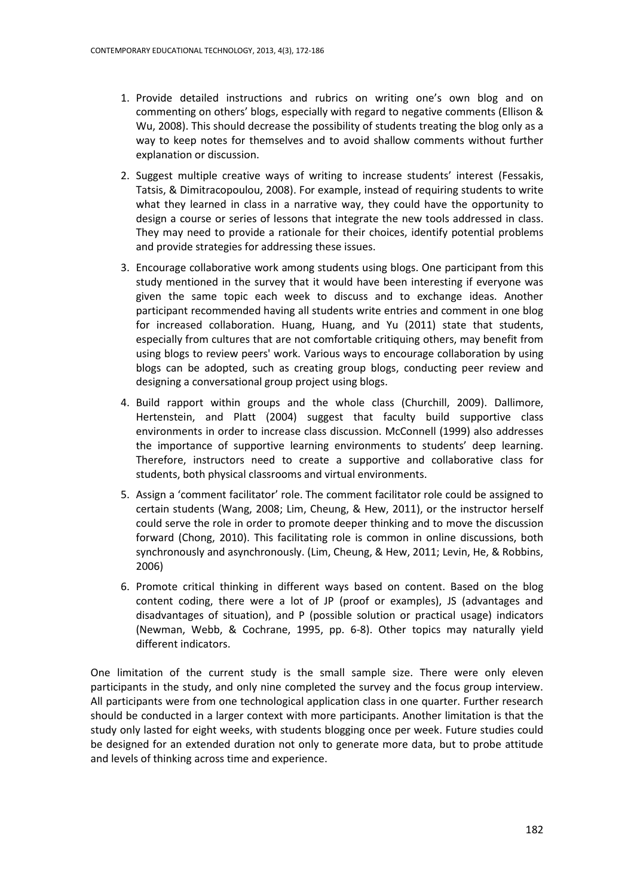- 1. Provide detailed instructions and rubrics on writing one's own blog and on commenting on others' blogs, especially with regard to negative comments (Ellison & Wu, 2008). This should decrease the possibility of students treating the blog only as a way to keep notes for themselves and to avoid shallow comments without further explanation or discussion.
- 2. Suggest multiple creative ways of writing to increase students' interest (Fessakis, Tatsis, & Dimitracopoulou, 2008). For example, instead of requiring students to write what they learned in class in a narrative way, they could have the opportunity to design a course or series of lessons that integrate the new tools addressed in class. They may need to provide a rationale for their choices, identify potential problems and provide strategies for addressing these issues.
- 3. Encourage collaborative work among students using blogs. One participant from this study mentioned in the survey that it would have been interesting if everyone was given the same topic each week to discuss and to exchange ideas. Another participant recommended having all students write entries and comment in one blog for increased collaboration. Huang, Huang, and Yu (2011) state that students, especially from cultures that are not comfortable critiquing others, may benefit from using blogs to review peers' work. Various ways to encourage collaboration by using blogs can be adopted, such as creating group blogs, conducting peer review and designing a conversational group project using blogs.
- 4. Build rapport within groups and the whole class (Churchill, 2009). Dallimore, Hertenstein, and Platt (2004) suggest that faculty build supportive class environments in order to increase class discussion. McConnell (1999) also addresses the importance of supportive learning environments to students' deep learning. Therefore, instructors need to create a supportive and collaborative class for students, both physical classrooms and virtual environments.
- 5. Assign a 'comment facilitator' role. The comment facilitator role could be assigned to certain students (Wang, 2008; Lim, Cheung, & Hew, 2011), or the instructor herself could serve the role in order to promote deeper thinking and to move the discussion forward (Chong, 2010). This facilitating role is common in online discussions, both synchronously and asynchronously. (Lim, Cheung, & Hew, 2011; Levin, He, & Robbins, 2006)
- 6. Promote critical thinking in different ways based on content. Based on the blog content coding, there were a lot of JP (proof or examples), JS (advantages and disadvantages of situation), and P (possible solution or practical usage) indicators (Newman, Webb, & Cochrane, 1995, pp. 6-8). Other topics may naturally yield different indicators.

One limitation of the current study is the small sample size. There were only eleven participants in the study, and only nine completed the survey and the focus group interview. All participants were from one technological application class in one quarter. Further research should be conducted in a larger context with more participants. Another limitation is that the study only lasted for eight weeks, with students blogging once per week. Future studies could be designed for an extended duration not only to generate more data, but to probe attitude and levels of thinking across time and experience.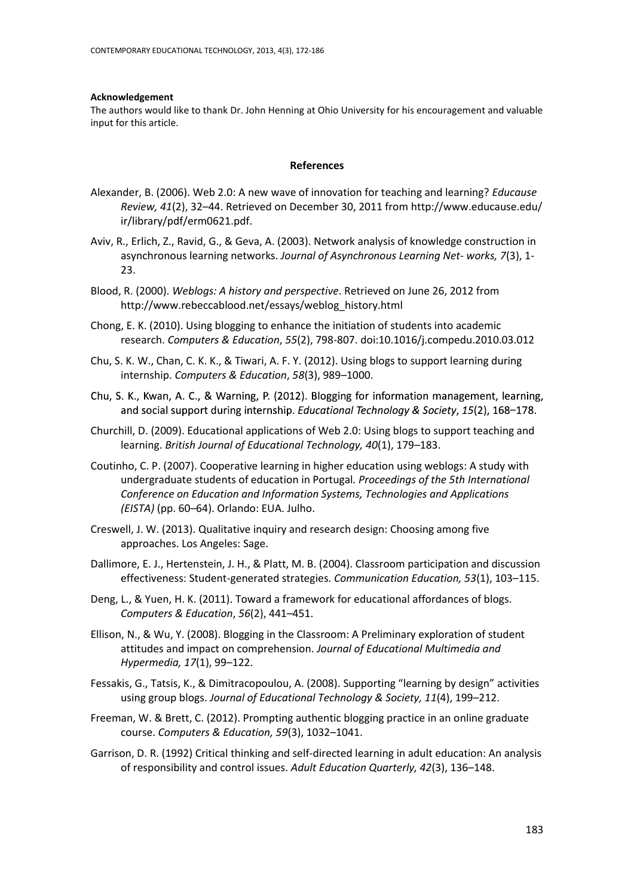#### **Acknowledgement**

The authors would like to thank Dr. John Henning at Ohio University for his encouragement and valuable input for this article.

#### **References**

- Alexander, B. (2006). Web 2.0: A new wave of innovation for teaching and learning? *Educause Review, 41*(2), 32–44. Retrieved on December 30, 2011 from <http://www.educause.edu/> ir/library/pdf/erm0621.pdf.
- Aviv, R., Erlich, Z., Ravid, G., & Geva, A. (2003). Network analysis of knowledge construction in asynchronous learning networks. *Journal of Asynchronous Learning Net- works, 7*(3), 1- 23.
- Blood, R. (2000). *Weblogs: A history and perspective*. Retrieved on June 26, 2012 from [http://www.rebeccablood.net/essays/weblog\\_history.html](http://www.rebeccablood.net/essays/weblog_history.html)
- Chong, E. K. (2010). Using blogging to enhance the initiation of students into academic research. *Computers & Education*, *55*(2), 798-807. doi:10.1016/j.compedu.2010.03.012
- Chu, S. K. W., Chan, C. K. K., & Tiwari, A. F. Y. (2012). Using blogs to support learning during internship. *Computers & Education*, *58*(3), 989–1000.
- Chu, S. K., Kwan, A. C., & Warning, P. (2012). Blogging for information management, learning, and social support during internship. Educational Technology & Society, 15(2), 168-178.
- Churchill, D. (2009). Educational applications of Web 2.0: Using blogs to support teaching and learning. *British Journal of Educational Technology, 40*(1), 179–183.
- Coutinho, C. P. (2007). Cooperative learning in higher education using weblogs: A study with undergraduate students of education in Portugal*. Proceedings of the 5th International Conference on Education and Information Systems, Technologies and Applications (EISTA)* (pp. 60–64). Orlando: EUA. Julho.
- Creswell, J. W. (2013). Qualitative inquiry and research design: Choosing among five approaches. Los Angeles: Sage.
- Dallimore, E. J., Hertenstein, J. H., & Platt, M. B. (2004). Classroom participation and discussion effectiveness: Student-generated strategies. *Communication Education, 53*(1), 103–115.
- Deng, L., & Yuen, H. K. (2011). Toward a framework for educational affordances of blogs. *Computers & Education*, *56*(2), 441–451.
- Ellison, N., & Wu, Y. (2008). Blogging in the Classroom: A Preliminary exploration of student attitudes and impact on comprehension. *Journal of Educational Multimedia and Hypermedia, 17*(1), 99–122.
- Fessakis, G., Tatsis, K., & Dimitracopoulou, A. (2008). Supporting "learning by design" activities using group blogs. *Journal of Educational Technology & Society, 11*(4), 199–212.
- Freeman, W. & Brett, C. (2012). Prompting authentic blogging practice in an online graduate course. *Computers & Education, 59*(3), 1032–1041.
- Garrison, D. R. (1992) Critical thinking and self-directed learning in adult education: An analysis of responsibility and control issues. *Adult Education Quarterly, 42*(3), 136–148.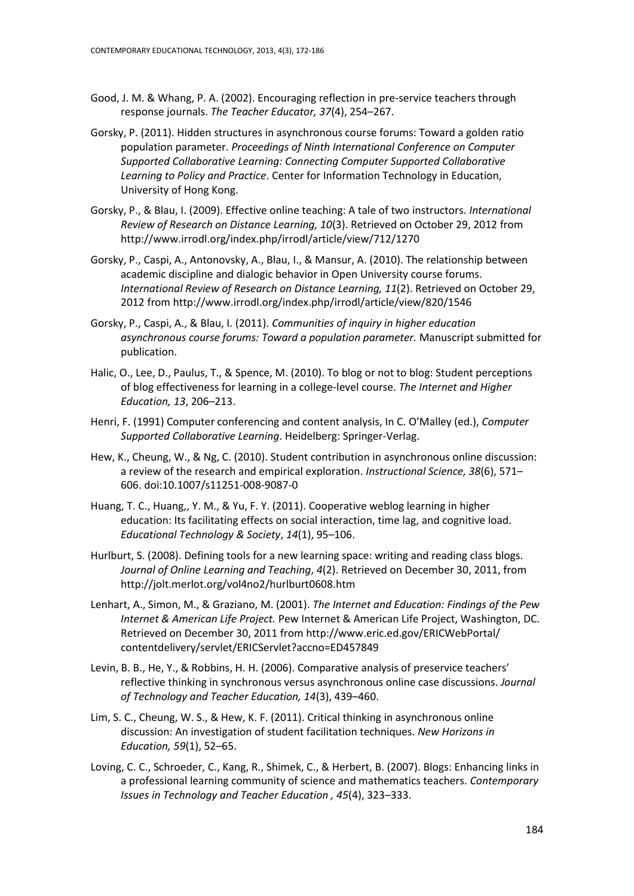- Good, J. M. & Whang, P. A. (2002). Encouraging reflection in pre-service teachers through response journals. *The Teacher Educator, 37*(4), 254–267.
- Gorsky, P. (2011). Hidden structures in asynchronous course forums: Toward a golden ratio population parameter. *Proceedings of Ninth International Conference on Computer Supported Collaborative Learning: Connecting Computer Supported Collaborative Learning to Policy and Practice*. Center for Information Technology in Education, University of Hong Kong.
- Gorsky, P., & Blau, I. (2009). Effective online teaching: A tale of two instructors. *International Review of Research on Distance Learning, 10*(3). Retrieved on October 29, 2012 from <http://www.irrodl.org/index.php/irrodl/article/view/712/1270>
- Gorsky, P., Caspi, A., Antonovsky, A., Blau, I., & Mansur, A. (2010). The relationship between academic discipline and dialogic behavior in Open University course forums. *International Review of Research on Distance Learning, 11*(2). Retrieved on October 29, 2012 fro[m http://www.irrodl.org/index.php/irrodl/article/view/820/1546](http://www.irrodl.org/index.php/irrodl/article/view/820/1546)
- Gorsky, P., Caspi, A., & Blau, I. (2011). *Communities of inquiry in higher education asynchronous course forums: Toward a population parameter.* Manuscript submitted for publication.
- Halic, O., Lee, D., Paulus, T., & Spence, M. (2010). To blog or not to blog: Student perceptions of blog effectiveness for learning in a college-level course. *The Internet and Higher Education, 13*, 206–213.
- Henri, F. (1991) Computer conferencing and content analysis, In C. O'Malley (ed.), *Computer Supported Collaborative Learning*. Heidelberg: Springer-Verlag.
- Hew, K., Cheung, W., & Ng, C. (2010). Student contribution in asynchronous online discussion: a review of the research and empirical exploration. *Instructional Science, 38*(6), 571– 606. doi:10.1007/s11251-008-9087-0
- Huang, T. C., Huang,, Y. M., & Yu, F. Y. (2011). Cooperative weblog learning in higher education: Its facilitating effects on social interaction, time lag, and cognitive load. *Educational Technology & Society*, *14*(1), 95–106.
- Hurlburt, S. (2008). Defining tools for a new learning space: writing and reading class blogs. *Journal of Online Learning and Teaching*, *4*(2). Retrieved on December 30, 2011, from <http://jolt.merlot.org/vol4no2/hurlburt0608.htm>
- Lenhart, A., Simon, M., & Graziano, M. (2001). *The Internet and Education: Findings of the Pew Internet & American Life Project.* Pew Internet & American Life Project, Washington, DC. Retrieved on December 30, 2011 from [http://www.eric.ed.gov/ERICWebPortal/](http://www.eric.ed.gov/ERICWebPortal/%20contentdelivery/servlet/ERICServlet?accno=ED457849)  [contentdelivery/servlet/ERICServlet?accno=ED457849](http://www.eric.ed.gov/ERICWebPortal/%20contentdelivery/servlet/ERICServlet?accno=ED457849)
- Levin, B. B., He, Y., & Robbins, H. H. (2006). Comparative analysis of preservice teachers' reflective thinking in synchronous versus asynchronous online case discussions. *Journal of Technology and Teacher Education, 14*(3), 439–460.
- Lim, S. C., Cheung, W. S., & Hew, K. F. (2011). Critical thinking in asynchronous online discussion: An investigation of student facilitation techniques. *New Horizons in Education, 59*(1), 52–65.
- Loving, C. C., Schroeder, C., Kang, R., Shimek, C., & Herbert, B. (2007). Blogs: Enhancing links in a professional learning community of science and mathematics teachers. *Contemporary Issues in Technology and Teacher Education , 45*(4), 323–333.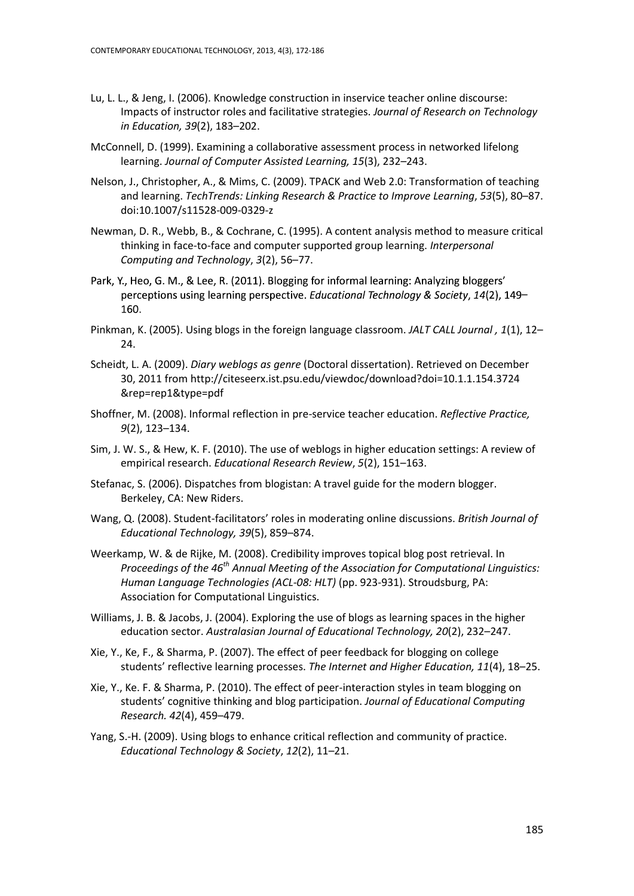- Lu, L. L., & Jeng, I. (2006). Knowledge construction in inservice teacher online discourse: Impacts of instructor roles and facilitative strategies. *Journal of Research on Technology in Education, 39*(2), 183–202.
- McConnell, D. (1999). Examining a collaborative assessment process in networked lifelong learning. *Journal of Computer Assisted Learning, 15*(3), 232–243.
- Nelson, J., Christopher, A., & Mims, C. (2009). TPACK and Web 2.0: Transformation of teaching and learning. *TechTrends: Linking Research & Practice to Improve Learning*, *53*(5), 80–87. doi:10.1007/s11528-009-0329-z
- Newman, D. R., Webb, B., & Cochrane, C. (1995). A content analysis method to measure critical thinking in face-to-face and computer supported group learning. *Interpersonal Computing and Technology*, *3*(2), 56–77.
- Park, Y., Heo, G. M., & Lee, R. (2011). Blogging for informal learning: Analyzing bloggers' perceptions using learning perspective. Educational Technology & Society, 14(2), 149– 160.
- Pinkman, K. (2005). Using blogs in the foreign language classroom. *JALT CALL Journal , 1*(1), 12– 24.
- Scheidt, L. A. (2009). *Diary weblogs as genre* (Doctoral dissertation). Retrieved on December 30, 2011 from [http://citeseerx.ist.psu.edu/viewdoc/download?doi=10.1.1.154.3724](http://citeseerx.ist.psu.edu/viewdoc/download?doi=10.1.1.154.3724%20&rep=rep1&type=pdf)  [&rep=rep1&type=pdf](http://citeseerx.ist.psu.edu/viewdoc/download?doi=10.1.1.154.3724%20&rep=rep1&type=pdf)
- Shoffner, M. (2008). Informal reflection in pre-service teacher education. *Reflective Practice, 9*(2), 123–134.
- Sim, J. W. S., & Hew, K. F. (2010). The use of weblogs in higher education settings: A review of empirical research. *Educational Research Review*, *5*(2), 151–163.
- Stefanac, S. (2006). Dispatches from blogistan: A travel guide for the modern blogger. Berkeley, CA: New Riders.
- Wang, Q. (2008). Student-facilitators' roles in moderating online discussions. *British Journal of Educational Technology, 39*(5), 859–874.
- Weerkamp, W. & de Rijke, M. (2008). Credibility improves topical blog post retrieval. In *Proceedings of the 46th Annual Meeting of the Association for Computational Linguistics: Human Language Technologies (ACL-08: HLT)* (pp. 923-931). Stroudsburg, PA: Association for Computational Linguistics.
- Williams, J. B. & Jacobs, J. (2004). Exploring the use of blogs as learning spaces in the higher education sector. *Australasian Journal of Educational Technology, 20*(2), 232–247.
- Xie, Y., Ke, F., & Sharma, P. (2007). The effect of peer feedback for blogging on college students' reflective learning processes. *The Internet and Higher Education, 11*(4), 18–25.
- Xie, Y., Ke. F. & Sharma, P. (2010). The effect of peer-interaction styles in team blogging on students' cognitive thinking and blog participation. *Journal of Educational Computing Research. 42*(4), 459–479.
- Yang, S.-H. (2009). Using blogs to enhance critical reflection and community of practice. *Educational Technology & Society*, *12*(2), 11–21.